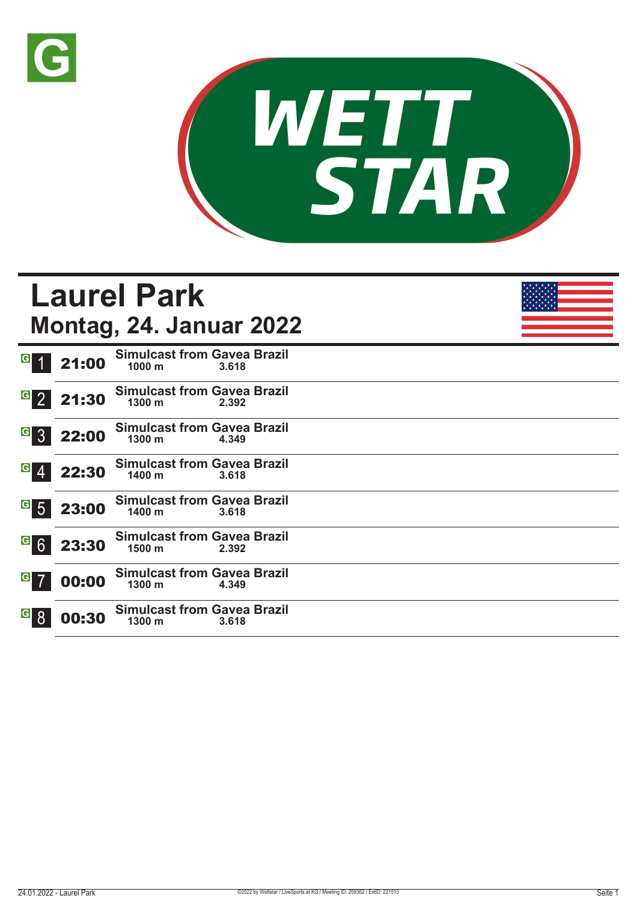



#### **Laurel Park Montag, 24. Januar 2022**  $G$  1 21:00 **Simulcast from Gavea Brazil 1000 m 3.618**   $G$  2 21:30 **Simulcast from Gavea Brazil 1300 m 2.392 G** 3 22:00 **Simulcast from Gavea Brazil 1300 m 4.349**   $G$  4 22:30 **Simulcast from Gavea Brazil 1400 m 3.618**   $G$  5 23:00 **Simulcast from Gavea Brazil 1400 m 3.618**  23:30 **Simulcast from Gavea Brazil 1500 m 2.392**  00:00 **Simulcast from Gavea Brazil 1300 m 4.349 G** 8 00:30 **Simulcast from Gavea Brazil 1300 m 3.618**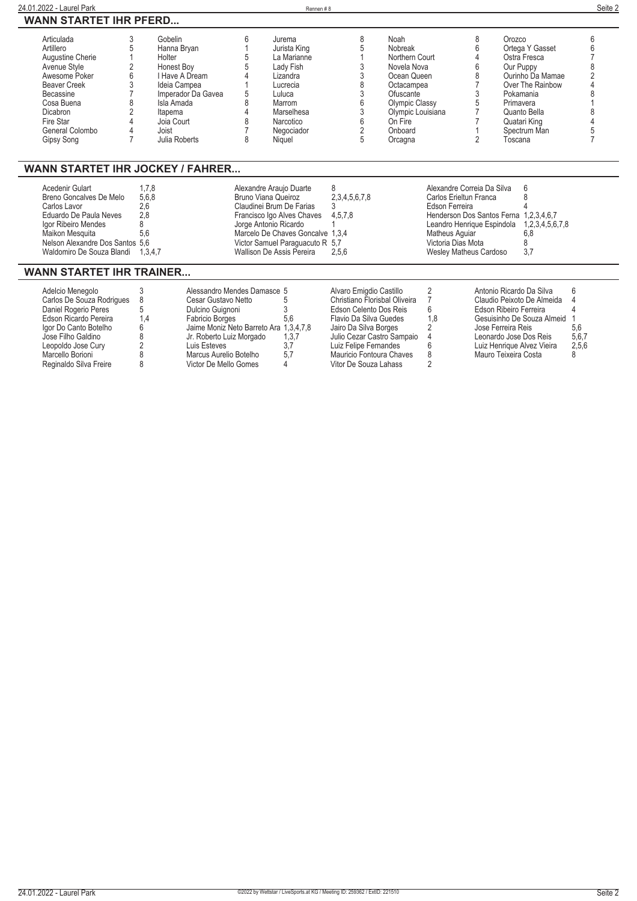| 24.01.2022 - Laurel Park                                                                                                                                                                               |            |                                                                                                                                                                         |        | Rennen#8                                                                                                                                          |                               |                                                                                                                                                                    |   |                                                                                                                                                                                     | Seite 2 |
|--------------------------------------------------------------------------------------------------------------------------------------------------------------------------------------------------------|------------|-------------------------------------------------------------------------------------------------------------------------------------------------------------------------|--------|---------------------------------------------------------------------------------------------------------------------------------------------------|-------------------------------|--------------------------------------------------------------------------------------------------------------------------------------------------------------------|---|-------------------------------------------------------------------------------------------------------------------------------------------------------------------------------------|---------|
| <b>WANN STARTET IHR PFERD</b>                                                                                                                                                                          |            |                                                                                                                                                                         |        |                                                                                                                                                   |                               |                                                                                                                                                                    |   |                                                                                                                                                                                     |         |
| Articulada<br>Artillero<br>Augustine Cherie<br>Avenue Style<br>Awesome Poker<br><b>Beaver Creek</b><br><b>Becassine</b><br>Cosa Buena<br><b>Dicabron</b><br>Fire Star<br>General Colombo<br>Gipsy Song |            | Gobelin<br>Hanna Bryan<br>Holter<br>Honest Boy<br>I Have A Dream<br>Ideia Campea<br>Imperador Da Gavea<br>Isla Amada<br>Itapema<br>Joia Court<br>Joist<br>Julia Roberts | հ<br>8 | Jurema<br>Jurista King<br>La Marianne<br>Lady Fish<br>Lizandra<br>Lucrecia<br>Luluca<br>Marrom<br>Marselhesa<br>Narcotico<br>Negociador<br>Niquel | 8                             | Noah<br>Nobreak<br>Northern Court<br>Novela Nova<br>Ocean Queen<br>Octacampea<br>Ofuscante<br>Olympic Classy<br>Olympic Louisiana<br>On Fire<br>Onboard<br>Orcagna | 8 | Orozco<br>Ortega Y Gasset<br>Ostra Fresca<br>Our Puppy<br>Ourinho Da Mamae<br>Over The Rainbow<br>Pokamania<br>Primavera<br>Quanto Bella<br>Quatari King<br>Spectrum Man<br>Toscana | ĥ       |
| <b>WANN STARTET IHR JOCKEY / FAHRER</b>                                                                                                                                                                |            |                                                                                                                                                                         |        |                                                                                                                                                   |                               |                                                                                                                                                                    |   |                                                                                                                                                                                     |         |
| Acedenir Gulart<br>Breno Goncalves De Melo<br>Carlos Lavor<br>Eduardo De Paula Neves<br>Igor Ribeiro Mendes                                                                                            | 2,6<br>2,8 | 1,7,8<br>5,6,8                                                                                                                                                          |        | Alexandre Araujo Duarte<br><b>Bruno Viana Queiroz</b><br>Claudinei Brum De Farias<br>Francisco Igo Alves Chaves<br>Jorge Antonio Ricardo          | 8<br>2,3,4,5,6,7,8<br>4,5,7,8 | Alexandre Correia Da Silva<br>Carlos Erieltun Franca<br>Edson Ferreira                                                                                             |   | ĥ<br>Henderson Dos Santos Ferna 1,2,3,4,6,7<br>Leandro Henrique Espindola 1,2,3,4,5,6,7,8                                                                                           |         |

#### **WANN STARTET IHR TRAINER...**

| Adelcio Menegolo          |     | Alessandro Mendes Damasce 5            |       | Alvaro Emigdio Castillo       |     | Antonio Ricardo Da Silva   |       |
|---------------------------|-----|----------------------------------------|-------|-------------------------------|-----|----------------------------|-------|
| Carlos De Souza Rodrigues |     | Cesar Gustavo Netto                    |       | Christiano Florisbal Oliveira |     | Claudio Peixoto De Almeida |       |
| Daniel Rogerio Peres      |     | Dulcino Guignoni                       |       | Edson Celento Dos Reis        | 6   | Edson Ribeiro Ferreira     |       |
| Edson Ricardo Pereira     | 1.4 | Fabricio Borges                        | 5.6   | Flavio Da Silva Guedes        | 1.8 | Gesuisinho De Souza Almeid |       |
| lgor Do Canto Botelho     |     | Jaime Moniz Neto Barreto Ara 1,3,4,7,8 |       | Jairo Da Silva Borges         |     | Jose Ferreira Reis         | 5.6   |
| Jose Filho Galdino        |     | Jr. Roberto Luiz Morgado               | 1,3,7 | Julio Cezar Castro Sampaio 4  |     | Leonardo Jose Dos Reis     | 5,6,7 |
| Leopoldo Jose Cury        |     | Luis Esteves                           | 3.7   | Luiz Felipe Fernandes         |     | Luiz Henrique Alvez Vieira | 2.5.6 |
| Marcello Borioni          |     | Marcus Aurelio Botelho                 | 5.7   | Mauricio Fontoura Chaves      | 8   | Mauro Teixeira Costa       |       |
| Reginaldo Silva Freire    |     | Victor De Mello Gomes                  | 4     | Vitor De Souza Lahass         |     |                            |       |
|                           |     |                                        |       |                               |     |                            |       |

**Maikon Mesquita 5,6 Marcelo De Chaves Goncalve 1,3,4 Matheus Aguiar 6,8 Nelson Alexandre Dos Santos 5,6 Victor Samuel Paraguacuto R 5,7 Victoria Dias Mota 8 Waldomiro De Souza Blandi 1,3,4,7 Wallison De Assis Pereira 2,5,6 Wesley Matheus Cardoso 3,7**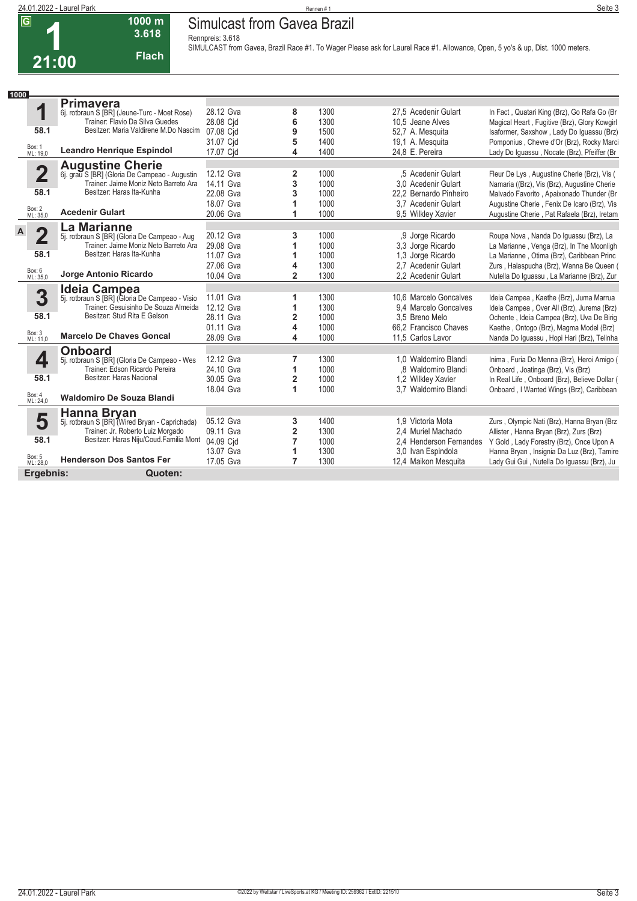#### **24.01.2022 - Laurel Park** Rennen # 1 **Seite 3 Simulcast from Gavea Brazil**

**Rennpreis: 3.618**

**1000 m 3.618 Flach**



**SIMULCAST from Gavea, Brazil Race #1. To Wager Please ask for Laurel Race #1. Allowance, Open, 5 yo's & up, Dist. 1000 meters.** 

| 1000                    |                                                                                                                   |           |                |      |                         |                                               |
|-------------------------|-------------------------------------------------------------------------------------------------------------------|-----------|----------------|------|-------------------------|-----------------------------------------------|
|                         | <b>Primavera</b>                                                                                                  |           |                |      |                         |                                               |
| 1                       | 6j. rotbraun S [BR] (Jeune-Turc - Moet Rose)                                                                      | 28.12 Gva | 8              | 1300 | 27,5 Acedenir Gulart    | In Fact, Quatari King (Brz), Go Rafa Go (Br   |
|                         | Trainer: Flavio Da Silva Guedes                                                                                   | 28.08 Cjd | 6              | 1300 | 10.5 Jeane Alves        | Magical Heart, Fugitive (Brz), Glory Kowgirl  |
| 58.1                    | Besitzer: Maria Valdirene M.Do Nascim                                                                             | 07.08 Cid | 9              | 1500 | 52,7 A. Mesquita        | Isaformer, Saxshow, Lady Do Iguassu (Brz)     |
|                         |                                                                                                                   | 31.07 Cid | 5              | 1400 | 19,1 A. Mesquita        | Pomponius, Chevre d'Or (Brz), Rocky Marci     |
| Box: 1<br>ML: 19,0      | <b>Leandro Henrique Espindol</b>                                                                                  | 17.07 Cjd | 4              | 1400 | 24,8 E. Pereira         | Lady Do Iguassu, Nocate (Brz), Pfeiffer (Br   |
|                         |                                                                                                                   |           |                |      |                         |                                               |
| $\overline{\mathbf{2}}$ | <b>Augustine Cherie</b><br>6j. grau S [BR] (Gloria De Campeao - Augustin<br>Trainer: Jaime Moniz Neto Barreto Ara | 12.12 Gva | 2              | 1000 | .5 Acedenir Gulart      | Fleur De Lys, Augustine Cherie (Brz), Vis (   |
|                         |                                                                                                                   | 14.11 Gva | 3              | 1000 | 3.0 Acedenir Gulart     | Namaria ((Brz), Vis (Brz), Augustine Cherie   |
| 58.1                    | Besitzer: Haras Ita-Kunha                                                                                         | 22.08 Gva | 3              | 1000 | 22.2 Bernardo Pinheiro  | Malvado Favorito, Apaixonado Thunder (Br      |
|                         |                                                                                                                   | 18.07 Gva | 1              | 1000 | 3.7 Acedenir Gulart     | Augustine Cherie, Fenix De Icaro (Brz), Vis   |
| Box: 2<br>ML: 35,0      | <b>Acedenir Gulart</b>                                                                                            | 20.06 Gva | 1              | 1000 | 9.5 Wilkley Xavier      | Augustine Cherie, Pat Rafaela (Brz), Iretam   |
|                         | La Marianne                                                                                                       |           |                |      |                         |                                               |
| 2                       | 5j. rotbraun S [BR] (Gloria De Campeao - Aug                                                                      | 20.12 Gva | 3              | 1000 | .9 Jorge Ricardo        | Roupa Nova, Nanda Do Iquassu (Brz), La        |
|                         | Trainer: Jaime Moniz Neto Barreto Ara                                                                             | 29.08 Gva | 1              | 1000 | 3,3 Jorge Ricardo       | La Marianne, Venga (Brz), In The Moonligh     |
| 58.1                    | Besitzer: Haras Ita-Kunha                                                                                         | 11.07 Gva | 1              | 1000 | 1,3 Jorge Ricardo       | La Marianne, Otima (Brz), Caribbean Princ     |
|                         |                                                                                                                   | 27.06 Gva | 4              | 1300 | 2.7 Acedenir Gulart     | Zurs, Halaspucha (Brz), Wanna Be Queen (      |
| Box: 6<br>ML: 35,0      | Jorge Antonio Ricardo                                                                                             | 10.04 Gva | $\overline{2}$ | 1300 | 2,2 Acedenir Gulart     | Nutella Do Iguassu, La Marianne (Brz), Zur    |
|                         | Ideia Campea                                                                                                      |           |                |      |                         |                                               |
| 3                       | 5j. rotbraun S [BR] (Gloria De Campeao - Visio                                                                    | 11.01 Gva | 1              | 1300 | 10,6 Marcelo Goncalves  | Ideia Campea, Kaethe (Brz), Juma Marrua       |
|                         | Trainer: Gesuisinho De Souza Almeida                                                                              | 12.12 Gva | 1              | 1300 | 9.4 Marcelo Goncalves   | Ideia Campea, Over All (Brz), Jurema (Brz)    |
| 58.1                    | Besitzer: Stud Rita E Gelson                                                                                      | 28.11 Gva | $\overline{2}$ | 1000 | 3.5 Breno Melo          | Ochente, Ideia Campea (Brz), Uva De Birig     |
|                         |                                                                                                                   | 01.11 Gva | 4              | 1000 | 66,2 Francisco Chaves   | Kaethe, Ontogo (Brz), Magma Model (Brz)       |
| Box: 3<br>ML: 11,0      | <b>Marcelo De Chaves Goncal</b>                                                                                   | 28.09 Gva | 4              | 1000 | 11.5 Carlos Lavor       | Nanda Do Iguassu, Hopi Hari (Brz), Telinha    |
|                         | <b>Onboard</b>                                                                                                    |           |                |      |                         |                                               |
| 4                       | 5j. rotbraun S [BR] (Gloria De Campeao - Wes                                                                      | 12.12 Gva | 7              | 1300 | 1,0 Waldomiro Blandi    | Inima, Furia Do Menna (Brz), Heroi Amigo (    |
|                         | Trainer: Edson Ricardo Pereira                                                                                    | 24.10 Gva | 1              | 1000 | .8 Waldomiro Blandi     | Onboard, Joatinga (Brz), Vis (Brz)            |
| 58.1                    | Besitzer: Haras Nacional                                                                                          | 30.05 Gva | $\overline{2}$ | 1000 | 1,2 Wilkley Xavier      | In Real Life, Onboard (Brz), Believe Dollar ( |
|                         |                                                                                                                   | 18.04 Gva | 1              | 1000 | 3,7 Waldomiro Blandi    | Onboard, I Wanted Wings (Brz), Caribbean      |
| Box: 4<br>ML: 24,0      | <b>Waldomiro De Souza Blandi</b>                                                                                  |           |                |      |                         |                                               |
|                         | Hanna Bryan                                                                                                       |           |                |      |                         |                                               |
| 5                       | 5j. rotbraun S [BR] (Wired Bryan - Caprichada)                                                                    | 05.12 Gva | 3              | 1400 | 1.9 Victoria Mota       | Zurs, Olympic Nati (Brz), Hanna Bryan (Brz    |
|                         | Trainer: Jr. Roberto Luiz Morgado                                                                                 | 09.11 Gva | $\overline{2}$ | 1300 | 2.4 Muriel Machado      | Allister, Hanna Bryan (Brz), Zurs (Brz)       |
| 58.1                    | Besitzer: Haras Niju/Coud.Familia Mont                                                                            | 04.09 Cid | 7              | 1000 | 2.4 Henderson Fernandes | Y Gold, Lady Forestry (Brz), Once Upon A      |
|                         |                                                                                                                   | 13.07 Gva | 1              | 1300 | 3.0 Ivan Espindola      | Hanna Bryan, Insignia Da Luz (Brz), Tamire    |
| Box: 5<br>ML: 28,0      | <b>Henderson Dos Santos Fer</b>                                                                                   | 17.05 Gva | 7              | 1300 | 12,4 Maikon Mesquita    | Lady Gui Gui, Nutella Do Iguassu (Brz), Ju    |
|                         | Ergebnis:<br>Quoten:                                                                                              |           |                |      |                         |                                               |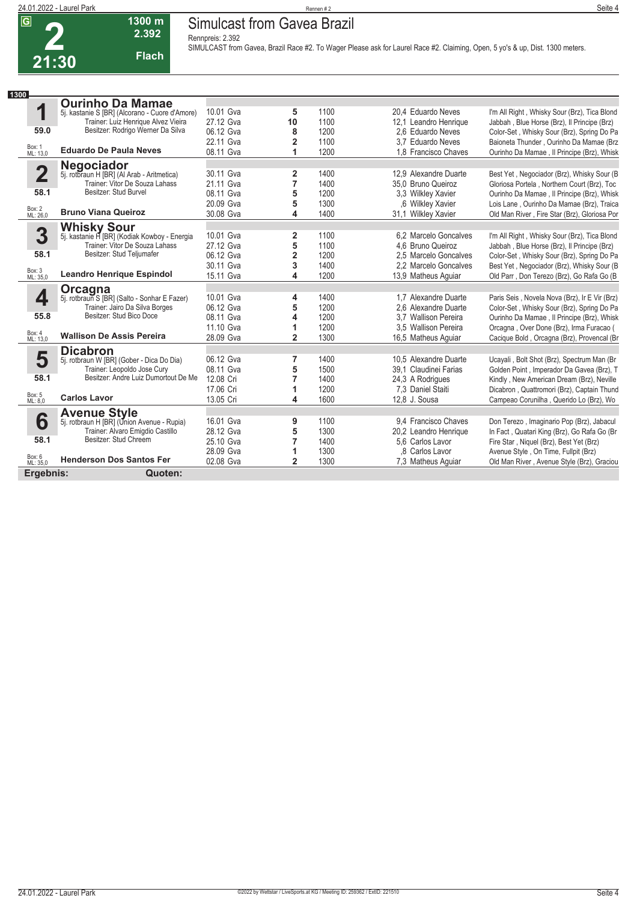**2**

# **24.01.2022 - Laurel Park** Rennen # 2 **Simulcast from Gavea Brazil**

**Rennpreis: 2.392**



**SIMULCAST from Gavea, Brazil Race #2. To Wager Please ask for Laurel Race #2. Claiming, Open, 5 yo's & up, Dist. 1300 meters.** 

| Seite 4<br>ಾಂ |
|---------------|
|               |
|               |
|               |
|               |

| 1300                    |                                                          |           |                         |      |                       |                                               |
|-------------------------|----------------------------------------------------------|-----------|-------------------------|------|-----------------------|-----------------------------------------------|
|                         | <b>Ourinho Da Mamae</b>                                  |           |                         |      |                       |                                               |
| 1                       | 5j. kastanie S [BR] (Alcorano - Cuore d'Amore)           | 10.01 Gva | 5                       | 1100 | 20.4 Eduardo Neves    | I'm All Right, Whisky Sour (Brz), Tica Blond  |
|                         | Trainer: Luiz Henrique Alvez Vieira                      | 27.12 Gva | 10                      | 1100 | 12,1 Leandro Henrique | Jabbah, Blue Horse (Brz), Il Principe (Brz)   |
| 59.0                    | Besitzer: Rodrigo Werner Da Silva                        | 06.12 Gva | 8                       | 1200 | 2.6 Eduardo Neves     | Color-Set, Whisky Sour (Brz), Spring Do Pa    |
|                         |                                                          | 22.11 Gva | 2                       | 1100 | 3.7 Eduardo Neves     | Baioneta Thunder, Ourinho Da Mamae (Brz       |
| Box: 1<br>ML: 13.0      | <b>Eduardo De Paula Neves</b>                            | 08.11 Gva | 1                       | 1200 | 1.8 Francisco Chaves  | Ourinho Da Mamae, Il Principe (Brz), Whisk    |
|                         |                                                          |           |                         |      |                       |                                               |
| $\overline{\mathbf{2}}$ | Negociador<br>5j. rotbraun H [BR] (Al Arab - Aritmetica) | 30.11 Gva | $\overline{2}$          | 1400 | 12.9 Alexandre Duarte | Best Yet, Negociador (Brz), Whisky Sour (B    |
|                         | Trainer: Vitor De Souza Lahass                           | 21.11 Gva | 7                       | 1400 | 35.0 Bruno Queiroz    | Gloriosa Portela, Northern Court (Brz), Toc   |
| 58.1                    | Besitzer: Stud Burvel                                    | 08.11 Gva | 5                       | 1200 | 3.3 Wilkley Xavier    | Ourinho Da Mamae, Il Principe (Brz), Whisk    |
|                         |                                                          | 20.09 Gva | 5                       | 1300 | .6 Wilkley Xavier     | Lois Lane, Ourinho Da Mamae (Brz), Traica     |
| Box: 2<br>ML: 26,0      | <b>Bruno Viana Queiroz</b>                               | 30.08 Gva | 4                       | 1400 | 31.1 Wilkley Xavier   | Old Man River, Fire Star (Brz), Gloriosa Por  |
|                         | <b>Whisky Sour</b>                                       |           |                         |      |                       |                                               |
| 3                       | 5j. kastanie H [BR] (Kodiak Kowboy - Energia             | 10.01 Gva | 2                       | 1100 | 6.2 Marcelo Goncalves | I'm All Right, Whisky Sour (Brz), Tica Blond  |
|                         | Trainer: Vitor De Souza Lahass                           | 27.12 Gva | 5                       | 1100 | 4.6 Bruno Queiroz     | Jabbah, Blue Horse (Brz), Il Principe (Brz)   |
| 58.1                    | Besitzer: Stud Teljumafer                                | 06.12 Gva | $\overline{\mathbf{2}}$ | 1200 | 2.5 Marcelo Goncalves | Color-Set, Whisky Sour (Brz), Spring Do Pa    |
|                         |                                                          | 30.11 Gva | 3                       | 1400 | 2.2 Marcelo Goncalves | Best Yet, Negociador (Brz), Whisky Sour (B    |
| Box: 3<br>ML: 35,0      | <b>Leandro Henrique Espindol</b>                         | 15.11 Gva | 4                       | 1200 | 13,9 Matheus Aquiar   | Old Parr, Don Terezo (Brz), Go Rafa Go (B     |
|                         | Orcagna                                                  |           |                         |      |                       |                                               |
| $\overline{\mathbf{4}}$ | 5j. rotbraun S [BR] (Salto - Sonhar E Fazer)             | 10.01 Gva | 4                       | 1400 | 1.7 Alexandre Duarte  | Paris Seis, Novela Nova (Brz), Ir E Vir (Brz) |
|                         | Trainer: Jairo Da Silva Borges                           | 06.12 Gva | 5                       | 1200 | 2.6 Alexandre Duarte  | Color-Set, Whisky Sour (Brz), Spring Do Pa    |
| 55.8                    | Besitzer: Stud Bico Doce                                 | 08.11 Gva | 4                       | 1200 | 3.7 Wallison Pereira  | Ourinho Da Mamae, Il Principe (Brz), Whisk    |
|                         |                                                          | 11.10 Gva | 1                       | 1200 | 3,5 Wallison Pereira  | Orcagna, Over Done (Brz), Irma Furacao (      |
| Box: 4<br>ML: 13,0      | <b>Wallison De Assis Pereira</b>                         | 28.09 Gva | $\overline{2}$          | 1300 | 16,5 Matheus Aquiar   | Cacique Bold, Orcagna (Brz), Provencal (Br    |
|                         | <b>Dicabron</b>                                          |           |                         |      |                       |                                               |
| 5                       | 5j. rotbraun W [BR] (Gober - Dica Do Dia)                | 06.12 Gva | 7                       | 1400 | 10.5 Alexandre Duarte | Ucayali, Bolt Shot (Brz), Spectrum Man (Br    |
|                         | Trainer: Leopoldo Jose Cury                              | 08.11 Gva | 5                       | 1500 | 39.1 Claudinei Farias | Golden Point, Imperador Da Gavea (Brz), T     |
| 58.1                    | Besitzer: Andre Luiz Dumortout De Me                     | 12.08 Cri | 7                       | 1400 | 24,3 A Rodrigues      | Kindly, New American Dream (Brz), Neville     |
|                         |                                                          | 17.06 Cri | 1                       | 1200 | 7.3 Daniel Staiti     | Dicabron, Quattromori (Brz), Captain Thund    |
| Box: 5<br>ML: 8,0       | <b>Carlos Lavor</b>                                      | 13.05 Cri | 4                       | 1600 | 12.8 J. Sousa         | Campeao Corunilha, Querido Lo (Brz), Wo       |
|                         | <b>Avenue Style</b>                                      |           |                         |      |                       |                                               |
| 6                       | 5j. rotbraun H [BR] (Union Avenue - Rupia)               | 16.01 Gva | 9                       | 1100 | 9.4 Francisco Chaves  | Don Terezo, Imaginario Pop (Brz), Jabacul     |
|                         | Trainer: Alvaro Emigdio Castillo                         | 28.12 Gva | 5                       | 1300 | 20,2 Leandro Henrique | In Fact, Quatari King (Brz), Go Rafa Go (Br   |
| 58.1                    | Besitzer: Stud Chreem                                    | 25.10 Gva | 7                       | 1400 | 5.6 Carlos Lavor      | Fire Star, Niquel (Brz), Best Yet (Brz)       |
|                         |                                                          | 28.09 Gva | 1                       | 1300 | .8 Carlos Lavor       | Avenue Style, On Time, Fullpit (Brz)          |
| Box: 6<br>ML: 35,0      | <b>Henderson Dos Santos Fer</b>                          | 02.08 Gva | $\overline{2}$          | 1300 | 7.3 Matheus Aquiar    | Old Man River, Avenue Style (Brz), Graciou    |
| Ergebnis:               | Quoten:                                                  |           |                         |      |                       |                                               |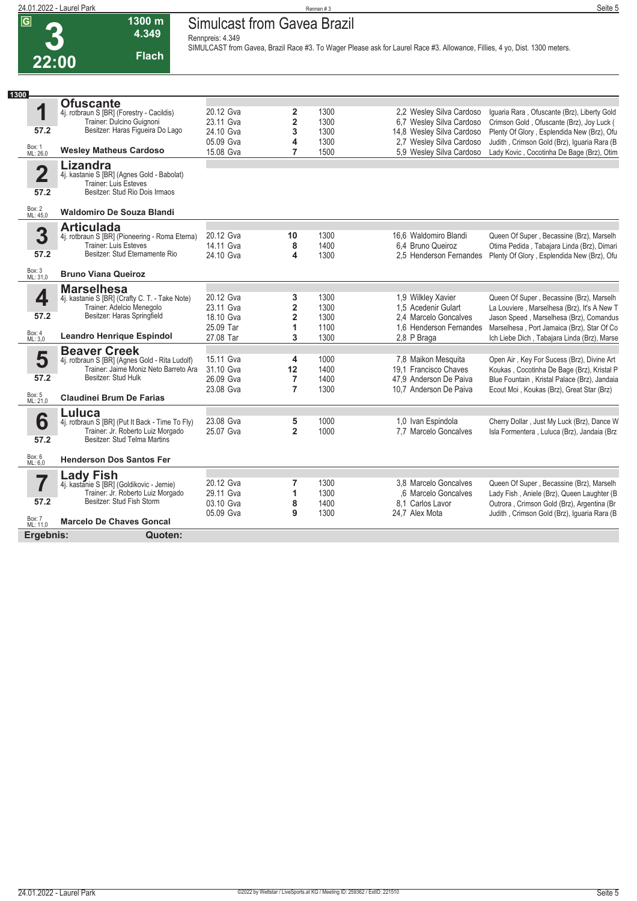| 22:00 |  |
|-------|--|

**Simulcast from Gavea Brazil Rennpreis: 4.349**

**1300 m 4.349 Flach**

**SIMULCAST from Gavea, Brazil Race #3. To Wager Please ask for Laurel Race #3. Allowance, Fillies, 4 yo, Dist. 1300 meters.** 

| 1300                    |                                                                                      |           |                         |      |                                             |                                                                                        |
|-------------------------|--------------------------------------------------------------------------------------|-----------|-------------------------|------|---------------------------------------------|----------------------------------------------------------------------------------------|
|                         | <b>Ofuscante</b>                                                                     |           |                         |      |                                             |                                                                                        |
| 1                       | 4j. rotbraun S [BR] (Forestry - Cacildis)<br>Trainer: Dulcino Guignoni               | 20.12 Gva | 2                       | 1300 | 2,2 Wesley Silva Cardoso                    | Iguaria Rara, Ofuscante (Brz), Liberty Gold                                            |
|                         |                                                                                      | 23.11 Gva | $\overline{\mathbf{c}}$ | 1300 | 6,7 Wesley Silva Cardoso                    | Crimson Gold, Ofuscante (Brz), Joy Luck (                                              |
| 57.2                    | Besitzer: Haras Figueira Do Lago                                                     | 24.10 Gva | 3                       | 1300 | 14,8 Wesley Silva Cardoso                   | Plenty Of Glory, Esplendida New (Brz), Ofu                                             |
|                         |                                                                                      | 05.09 Gva | 4                       | 1300 | 2.7 Wesley Silva Cardoso                    | Judith, Crimson Gold (Brz), Iguaria Rara (B                                            |
| Box: 1<br>ML: 26,0      | <b>Wesley Matheus Cardoso</b>                                                        | 15.08 Gva | 7                       | 1500 | 5.9 Wesley Silva Cardoso                    | Lady Kovic, Cocotinha De Bage (Brz), Otim                                              |
| $\overline{\mathbf{2}}$ | <b>Lizandra</b>                                                                      |           |                         |      |                                             |                                                                                        |
|                         | 4j. kastanie S [BR] (Agnes Gold - Babolat)<br><b>Trainer: Luis Esteves</b>           |           |                         |      |                                             |                                                                                        |
| 57.2                    | Besitzer: Stud Rio Dois Irmaos                                                       |           |                         |      |                                             |                                                                                        |
| Box: 2<br>ML: 45,0      | <b>Waldomiro De Souza Blandi</b>                                                     |           |                         |      |                                             |                                                                                        |
|                         |                                                                                      |           |                         |      |                                             |                                                                                        |
| 3                       | <b>Articulada</b>                                                                    | 20.12 Gva |                         | 1300 |                                             |                                                                                        |
|                         | 4j. rotbraun S [BR] (Pioneering - Roma Eterna)<br><b>Trainer: Luis Esteves</b>       | 14.11 Gva | 10<br>8                 | 1400 | 16.6 Waldomiro Blandi<br>6.4 Bruno Queiroz  | Queen Of Super, Becassine (Brz), Marselh<br>Otima Pedida, Tabajara Linda (Brz), Dimari |
| 57.2                    | Besitzer: Stud Eternamente Rio                                                       | 24.10 Gva | 4                       | 1300 | 2.5 Henderson Fernandes                     | Plenty Of Glory, Esplendida New (Brz), Ofu                                             |
|                         |                                                                                      |           |                         |      |                                             |                                                                                        |
| Box: 3<br>ML: 31,0      | <b>Bruno Viana Queiroz</b>                                                           |           |                         |      |                                             |                                                                                        |
|                         | <b>Marselhesa</b>                                                                    |           |                         |      |                                             |                                                                                        |
| 4                       | 4j. kastanie S [BR] (Crafty C. T. - Take Note)                                       | 20.12 Gva | 3                       | 1300 | 1,9 Wilkley Xavier                          | Queen Of Super, Becassine (Brz), Marselh                                               |
|                         | Trainer: Adelcio Menegolo                                                            | 23.11 Gva | 2                       | 1300 | 1,5 Acedenir Gulart                         | La Louviere, Marselhesa (Brz), It's A New T                                            |
| 57.2                    | Besitzer: Haras Springfield                                                          | 18.10 Gva | $\overline{2}$          | 1300 | 2.4 Marcelo Goncalves                       | Jason Speed, Marselhesa (Brz), Comandus                                                |
|                         |                                                                                      | 25.09 Tar | 1                       | 1100 | 1.6 Henderson Fernandes                     | Marselhesa, Port Jamaica (Brz), Star Of Co                                             |
| Box: 4<br>ML: 3,0       | <b>Leandro Henrique Espindol</b>                                                     | 27.08 Tar | 3                       | 1300 | 2,8 P Braga                                 | Ich Liebe Dich, Tabajara Linda (Brz), Marse                                            |
|                         | <b>Beaver Creek</b>                                                                  |           |                         |      |                                             |                                                                                        |
| 5                       | 4j. rotbraun S [BR] (Agnes Gold - Rita Ludolf)                                       | 15.11 Gva | 4                       | 1000 | 7,8 Maikon Mesquita                         | Open Air, Key For Sucess (Brz), Divine Art                                             |
|                         | Trainer: Jaime Moniz Neto Barreto Ara                                                | 31.10 Gva | 12                      | 1400 | 19.1 Francisco Chaves                       | Koukas, Cocotinha De Bage (Brz), Kristal P                                             |
| 57.2                    | Besitzer: Stud Hulk                                                                  | 26.09 Gva | $\overline{7}$          | 1400 | 47.9 Anderson De Paiva                      | Blue Fountain, Kristal Palace (Brz), Jandaia                                           |
|                         | <b>Claudinei Brum De Farias</b>                                                      | 23.08 Gva | $\overline{7}$          | 1300 | 10.7 Anderson De Paiva                      | Ecout Moi, Koukas (Brz), Great Star (Brz)                                              |
| Box: 5<br>ML: 21,0      |                                                                                      |           |                         |      |                                             |                                                                                        |
|                         | Luluca                                                                               | 23.08 Gva |                         | 1000 |                                             |                                                                                        |
| 6                       | 4j. rotbraun S [BR] (Put It Back - Time To Fly)<br>Trainer: Jr. Roberto Luiz Morgado | 25.07 Gva | 5<br>$\overline{2}$     | 1000 | 1.0 Ivan Espindola<br>7.7 Marcelo Goncalves | Cherry Dollar, Just My Luck (Brz), Dance W                                             |
| 57.2                    | Besitzer: Stud Telma Martins                                                         |           |                         |      |                                             | Isla Formentera, Luluca (Brz), Jandaia (Brz                                            |
|                         |                                                                                      |           |                         |      |                                             |                                                                                        |
| Box: 6<br>ML: 6,0       | <b>Henderson Dos Santos Fer</b>                                                      |           |                         |      |                                             |                                                                                        |
|                         | <b>Lady Fish</b>                                                                     |           |                         |      |                                             |                                                                                        |
| 7                       | 4j. kastanie S [BR] (Goldikovic - Jernie)                                            | 20.12 Gva | 7                       | 1300 | 3.8 Marcelo Goncalves                       | Queen Of Super, Becassine (Brz), Marselh                                               |
|                         | Trainer: Jr. Roberto Luiz Morgado                                                    | 29.11 Gva | 1                       | 1300 | .6 Marcelo Goncalves                        | Lady Fish, Aniele (Brz), Queen Laughter (B                                             |
| 57.2                    | Besitzer: Stud Fish Storm                                                            | 03.10 Gva | 8                       | 1400 | 8.1 Carlos Lavor                            | Outrora, Crimson Gold (Brz), Argentina (Br                                             |
| Box: 7<br>ML: 11,0      | <b>Marcelo De Chaves Goncal</b>                                                      | 05.09 Gva | 9                       | 1300 | 24,7 Alex Mota                              | Judith, Crimson Gold (Brz), Iguaria Rara (B                                            |
|                         |                                                                                      |           |                         |      |                                             |                                                                                        |
| Ergebnis:               | Quoten:                                                                              |           |                         |      |                                             |                                                                                        |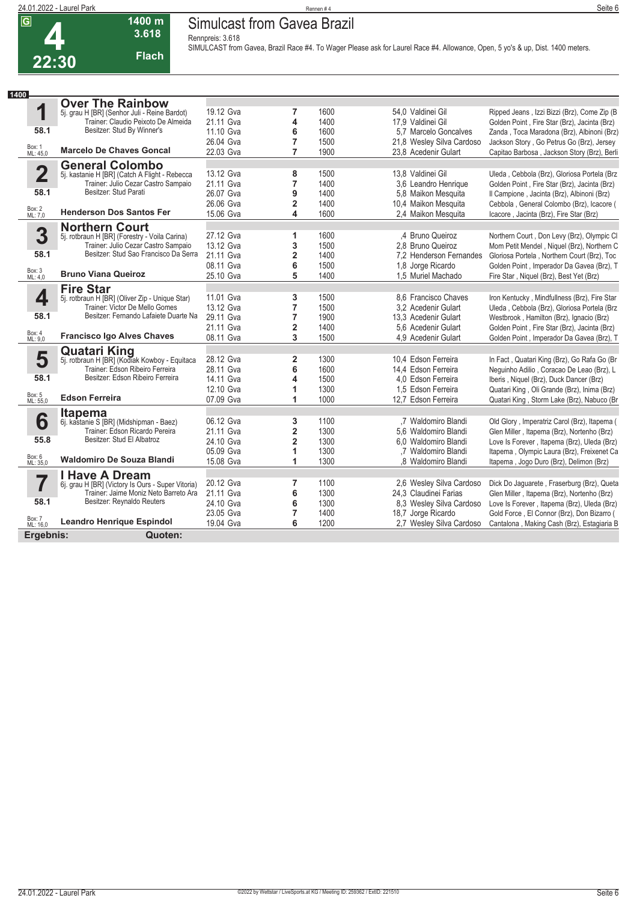### **24.01.2022 - Laurel Park** Rennen # 4 **Seite 6 Simulcast from Gavea Brazil**

**Rennpreis: 3.618**



**3.618 Flach**

**SIMULCAST from Gavea, Brazil Race #4. To Wager Please ask for Laurel Race #4. Allowance, Open, 5 yo's & up, Dist. 1400 meters.** 

| 1400                     |                                                                      |           |                         |      |                           |                                              |
|--------------------------|----------------------------------------------------------------------|-----------|-------------------------|------|---------------------------|----------------------------------------------|
|                          | <b>Over The Rainbow</b>                                              |           |                         |      |                           |                                              |
| 1                        | 5j. grau H [BR] (Senhor Juli - Reine Bardot)                         | 19.12 Gva | 7                       | 1600 | 54,0 Valdinei Gil         | Ripped Jeans, Izzi Bizzi (Brz), Come Zip (B  |
|                          | Trainer: Claudio Peixoto De Almeida                                  | 21.11 Gva | 4                       | 1400 | 17.9 Valdinei Gil         | Golden Point, Fire Star (Brz), Jacinta (Brz) |
| 58.1                     | Besitzer: Stud By Winner's                                           | 11.10 Gva | 6                       | 1600 | 5.7 Marcelo Goncalves     | Zanda, Toca Maradona (Brz), Albinoni (Brz)   |
|                          |                                                                      | 26.04 Gva | $\overline{7}$          | 1500 | 21,8 Wesley Silva Cardoso | Jackson Story, Go Petrus Go (Brz), Jersey    |
| Box: 1<br>ML: 45,0       | <b>Marcelo De Chaves Goncal</b>                                      | 22.03 Gva | $\overline{7}$          | 1900 | 23.8 Acedenir Gulart      | Capitao Barbosa, Jackson Story (Brz), Berli  |
|                          | <b>General Colombo</b>                                               |           |                         |      |                           |                                              |
| $\overline{\mathbf{2}}$  | 5j. kastanie H [BR] (Catch A Flight - Rebecca                        | 13.12 Gva | 8                       | 1500 | 13,8 Valdinei Gil         | Uleda, Cebbola (Brz), Gloriosa Portela (Brz  |
|                          | Trainer: Julio Cezar Castro Sampaio                                  | 21.11 Gva | $\overline{7}$          | 1400 | 3,6 Leandro Henrique      | Golden Point, Fire Star (Brz), Jacinta (Brz) |
| 58.1                     | Besitzer: Stud Parati                                                | 26.07 Gva | 9                       | 1400 | 5,8 Maikon Mesquita       | Il Campione, Jacinta (Brz), Albinoni (Brz)   |
|                          |                                                                      | 26.06 Gva | $\overline{\mathbf{2}}$ | 1400 | 10,4 Maikon Mesquita      | Cebbola, General Colombo (Brz), Icacore (    |
| Box: 2<br>ML: 7,0        | <b>Henderson Dos Santos Fer</b>                                      | 15.06 Gva | 4                       | 1600 | 2,4 Maikon Mesquita       | Icacore, Jacinta (Brz), Fire Star (Brz)      |
|                          | <b>Northern Court</b>                                                |           |                         |      |                           |                                              |
| 3                        | 5j. rotbraun H [BR] (Forestry - Voila Carina)                        | 27.12 Gva | 1                       | 1600 | .4 Bruno Queiroz          | Northern Court, Don Levy (Brz), Olympic Cl   |
|                          | Trainer: Julio Cezar Castro Sampaio                                  | 13.12 Gva | 3                       | 1500 | 2.8 Bruno Queiroz         | Mom Petit Mendel, Niquel (Brz), Northern C   |
| 58.1                     | Besitzer: Stud Sao Francisco Da Serra                                | 21.11 Gva | $\overline{\mathbf{2}}$ | 1400 | 7.2 Henderson Fernandes   | Gloriosa Portela, Northern Court (Brz), Toc  |
| Box: 3                   |                                                                      | 08.11 Gva | 6                       | 1500 | 1,8 Jorge Ricardo         | Golden Point, Imperador Da Gavea (Brz), T    |
| ML: 4.0                  | <b>Bruno Viana Queiroz</b>                                           | 25.10 Gva | 5                       | 1400 | 1,5 Muriel Machado        | Fire Star, Niquel (Brz), Best Yet (Brz)      |
|                          | <b>Fire Star</b>                                                     |           |                         |      |                           |                                              |
| 4                        | 5j. rotbraun H [BR] (Oliver Zip - Unique Star)                       | 11.01 Gva | 3                       | 1500 | 8.6 Francisco Chaves      | Iron Kentucky, Mindfullness (Brz), Fire Star |
|                          | Trainer: Victor De Mello Gomes                                       | 13.12 Gva | 7                       | 1500 | 3.2 Acedenir Gulart       | Uleda, Cebbola (Brz), Gloriosa Portela (Brz  |
| 58.1                     | Besitzer: Fernando Lafaiete Duarte Na                                | 29.11 Gva | $\overline{7}$          | 1900 | 13.3 Acedenir Gulart      | Westbrook, Hamilton (Brz), Ignacio (Brz)     |
| Box: 4                   |                                                                      | 21.11 Gva | $\overline{\mathbf{2}}$ | 1400 | 5.6 Acedenir Gulart       | Golden Point, Fire Star (Brz), Jacinta (Brz) |
| ML: 9.0                  | <b>Francisco Igo Alves Chaves</b>                                    | 08.11 Gva | 3                       | 1500 | 4.9 Acedenir Gulart       | Golden Point, Imperador Da Gavea (Brz), T    |
|                          | <b>Quatari King</b><br>5j. rotbraun H [BR] (Kodiak Kowboy - Equitaca |           |                         |      |                           |                                              |
| 5                        |                                                                      | 28.12 Gva | $\overline{2}$          | 1300 | 10.4 Edson Ferreira       | In Fact, Quatari King (Brz), Go Rafa Go (Br  |
|                          | Trainer: Edson Ribeiro Ferreira                                      | 28.11 Gva | 6                       | 1600 | 14.4 Edson Ferreira       | Neguinho Adilio, Coracao De Leao (Brz), L    |
| 58.1                     | Besitzer: Edson Ribeiro Ferreira                                     | 14.11 Gva | 4                       | 1500 | 4.0 Edson Ferreira        | Iberis, Niquel (Brz), Duck Dancer (Brz)      |
|                          |                                                                      | 12.10 Gva | 1                       | 1300 | 1.5 Edson Ferreira        | Quatari King, Oli Grande (Brz), Inima (Brz)  |
| Box: 5<br>ML: 55,0       | <b>Edson Ferreira</b>                                                | 07.09 Gva | 1                       | 1000 | 12,7 Edson Ferreira       | Quatari King, Storm Lake (Brz), Nabuco (Br   |
|                          | <b>Itapema</b>                                                       |           |                         |      |                           |                                              |
| 6                        | 6j. kastanie S [BR] (Midshipman - Baez)                              | 06.12 Gva | 3                       | 1100 | .7 Waldomiro Blandi       | Old Glory, Imperatriz Carol (Brz), Itapema ( |
|                          | Trainer: Edson Ricardo Pereira                                       | 21.11 Gva | $\overline{\mathbf{2}}$ | 1300 | 5,6 Waldomiro Blandi      | Glen Miller, Itapema (Brz), Nortenho (Brz)   |
| 55.8                     | Besitzer: Stud El Albatroz                                           | 24.10 Gva | $\overline{\mathbf{2}}$ | 1300 | 6.0 Waldomiro Blandi      | Love Is Forever, Itapema (Brz), Uleda (Brz)  |
|                          |                                                                      | 05.09 Gva | 1                       | 1300 | .7 Waldomiro Blandi       | Itapema, Olympic Laura (Brz), Freixenet Ca   |
| Box: 6<br>ML: 35,0       | <b>Waldomiro De Souza Blandi</b>                                     | 15.08 Gva | 1                       | 1300 | .8 Waldomiro Blandi       | Itapema, Jogo Duro (Brz), Delimon (Brz)      |
| $\overline{\phantom{a}}$ | <b>I Have A Dream</b>                                                |           |                         |      |                           |                                              |
|                          | 6j. grau H [BR] (Victory Is Ours - Super Vitoria)                    | 20.12 Gva | $\overline{7}$          | 1100 | 2.6 Wesley Silva Cardoso  | Dick Do Jaguarete, Fraserburg (Brz), Queta   |
|                          | Trainer: Jaime Moniz Neto Barreto Ara                                | 21.11 Gva | 6                       | 1300 | 24,3 Claudinei Farias     | Glen Miller, Itapema (Brz), Nortenho (Brz)   |
| 58.1                     | Besitzer: Reynaldo Reuters                                           | 24.10 Gva | 6                       | 1300 | 8,3 Wesley Silva Cardoso  | Love Is Forever, Itapema (Brz), Uleda (Brz)  |
|                          |                                                                      | 23.05 Gva | $\overline{7}$          | 1400 | 18,7 Jorge Ricardo        | Gold Force, El Connor (Brz), Don Bizarro (   |
| Box: 7<br>ML: 16,0       | <b>Leandro Henrique Espindol</b>                                     | 19.04 Gva | 6                       | 1200 | 2.7 Wesley Silva Cardoso  | Cantalona, Making Cash (Brz), Estagiaria B   |
| Ergebnis:                | Quoten:                                                              |           |                         |      |                           |                                              |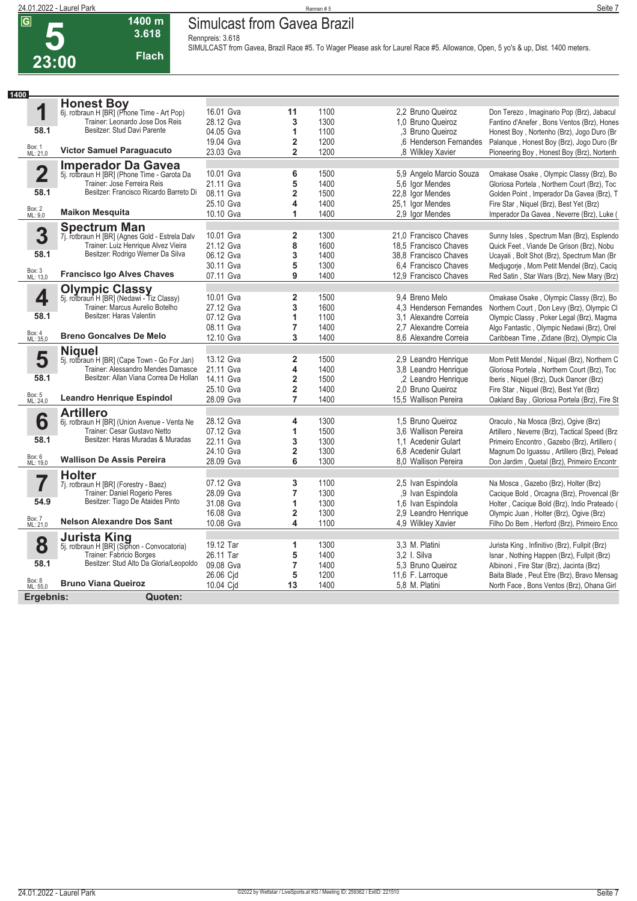**5**

**1400**

### **24.01.2022 - Laurel Park** Rennen # 5 **Seite 7 Simulcast from Gavea Brazil**

**Rennpreis: 3.618**

| 3.618 |
|-------|
| Flach |

**1400 m**

**SIMULCAST from Gavea, Brazil Race #5. To Wager Please ask for Laurel Race #5. Allowance, Open, 5 yo's & up, Dist. 1400 meters.** 

|                         | <b>Honest Boy</b>                                                            |           |                         |      |                                                                       |
|-------------------------|------------------------------------------------------------------------------|-----------|-------------------------|------|-----------------------------------------------------------------------|
| 1                       | 6j. rotbraun H [BR] (Phone Time - Art Pop)                                   | 16.01 Gva | 11                      | 1100 | 2.2 Bruno Queiroz<br>Don Terezo, Imaginario Pop (Brz), Jabacul        |
|                         | Trainer: Leonardo Jose Dos Reis                                              | 28.12 Gva | 3                       | 1300 | 1.0 Bruno Queiroz<br>Fantino d'Anefer, Bons Ventos (Brz), Hones       |
| 58.1                    | Besitzer: Stud Davi Parente                                                  | 04.05 Gva | 1                       | 1100 | ,3 Bruno Queiroz<br>Honest Boy, Nortenho (Brz), Jogo Duro (Br         |
|                         |                                                                              | 19.04 Gva | $\overline{2}$          | 1200 | .6 Henderson Fernandes<br>Palanque, Honest Boy (Brz), Jogo Duro (Br   |
| Box: 1<br>ML: 21,0      | <b>Victor Samuel Paraguacuto</b>                                             | 23.03 Gva | $\overline{2}$          | 1200 | ,8 Wilkley Xavier<br>Pioneering Boy, Honest Boy (Brz), Nortenh        |
|                         | Imperador Da Gavea                                                           |           |                         |      |                                                                       |
| $\overline{\mathbf{2}}$ | 5j. rotbraun H [BR] (Phone Time - Garota Da                                  | 10.01 Gva | 6                       | 1500 | 5,9 Angelo Marcio Souza<br>Omakase Osake, Olympic Classy (Brz), Bo    |
|                         | Trainer: Jose Ferreira Reis                                                  | 21.11 Gva | 5                       | 1400 | 5,6 Igor Mendes<br>Gloriosa Portela, Northern Court (Brz), Toc        |
| 58.1                    | Besitzer: Francisco Ricardo Barreto Di                                       | 08.11 Gva | 2                       | 1500 | 22,8 Igor Mendes<br>Golden Point, Imperador Da Gavea (Brz), T         |
|                         |                                                                              | 25.10 Gva | 4                       | 1400 | 25,1 Igor Mendes<br>Fire Star, Niquel (Brz), Best Yet (Brz)           |
| Box: 2<br>ML: 9,0       | <b>Maikon Mesquita</b>                                                       | 10.10 Gva | 1                       | 1400 | 2,9 Igor Mendes<br>Imperador Da Gavea, Neverre (Brz), Luke (          |
|                         | <b>Spectrum Man</b>                                                          |           |                         |      |                                                                       |
| 3                       | 7j. rotbraun H [BR] (Agnes Gold - Estrela Dalv                               | 10.01 Gva | 2                       | 1300 | 21.0 Francisco Chaves<br>Sunny Isles, Spectrum Man (Brz), Esplendo    |
|                         | Trainer: Luiz Henrique Alvez Vieira                                          | 21.12 Gva | 8                       | 1600 | 18,5 Francisco Chaves<br>Quick Feet, Viande De Grison (Brz), Nobu     |
| 58.1                    | Besitzer: Rodrigo Werner Da Silva                                            | 06.12 Gva | 3                       | 1400 | 38,8 Francisco Chaves<br>Ucayali, Bolt Shot (Brz), Spectrum Man (Br   |
|                         |                                                                              | 30.11 Gva | 5                       | 1300 | 6.4 Francisco Chaves<br>Medjugorje, Mom Petit Mendel (Brz), Caciq     |
| Box: 3<br>ML: 13,0      | <b>Francisco Igo Alves Chaves</b>                                            | 07.11 Gva | 9                       | 1400 | 12,9 Francisco Chaves<br>Red Satin, Star Wars (Brz), New Mary (Brz)   |
|                         | <b>Olympic Classy</b>                                                        |           |                         |      |                                                                       |
| 4                       | 5j. rotbraun H [BR] (Nedawi - Tiz Classy)                                    | 10.01 Gva | $\overline{2}$          | 1500 | 9.4 Breno Melo<br>Omakase Osake, Olympic Classy (Brz), Bo             |
|                         | Trainer: Marcus Aurelio Botelho                                              | 27.12 Gva | 3                       | 1600 | 4.3 Henderson Fernandes<br>Northern Court, Don Levy (Brz), Olympic Cl |
| 58.1                    | Besitzer: Haras Valentin                                                     | 07.12 Gva | 1                       | 1100 | 3.1 Alexandre Correia<br>Olympic Classy, Poker Legal (Brz), Magma     |
|                         |                                                                              | 08.11 Gva | 7                       | 1400 | 2.7 Alexandre Correia<br>Algo Fantastic, Olympic Nedawi (Brz), Orel   |
| Box: 4<br>ML: 35,0      | <b>Breno Goncalves De Melo</b>                                               | 12.10 Gva | 3                       | 1400 | 8.6 Alexandre Correia<br>Caribbean Time, Zidane (Brz), Olympic Cla    |
|                         |                                                                              |           |                         |      |                                                                       |
| 5                       | <b>Niquel</b><br>5j. rotbraun H [BR] (Cape Town - Go For Jan)                | 13.12 Gva | 2                       | 1500 | 2.9 Leandro Henrique<br>Mom Petit Mendel, Niquel (Brz), Northern C    |
|                         | Trainer: Alessandro Mendes Damasce                                           | 21.11 Gva | 4                       | 1400 | 3.8 Leandro Henrique<br>Gloriosa Portela, Northern Court (Brz), Toc   |
| 58.1                    | Besitzer: Allan Viana Correa De Hollan                                       | 14.11 Gva | $\overline{\mathbf{2}}$ | 1500 | .2 Leandro Henrique<br>Iberis, Niquel (Brz), Duck Dancer (Brz)        |
|                         |                                                                              | 25.10 Gva | $\overline{2}$          | 1400 | 2.0 Bruno Queiroz<br>Fire Star, Niquel (Brz), Best Yet (Brz)          |
| Box: 5<br>ML: 24,0      | <b>Leandro Henrique Espindol</b>                                             | 28.09 Gva | $\overline{7}$          | 1400 | 15,5 Wallison Pereira<br>Oakland Bay, Gloriosa Portela (Brz), Fire St |
|                         |                                                                              |           |                         |      |                                                                       |
|                         | <b>Artillero</b>                                                             |           |                         |      |                                                                       |
| 6                       | 6j. rotbraun H [BR] (Union Avenue - Venta Ne<br>Trainer: Cesar Gustavo Netto | 28.12 Gva | 4                       | 1300 | 1.5 Bruno Queiroz<br>Oraculo, Na Mosca (Brz), Ogive (Brz)             |
| 58.1                    | Besitzer: Haras Muradas & Muradas                                            | 07.12 Gva | 1                       | 1500 | 3.6 Wallison Pereira<br>Artillero, Neverre (Brz), Tactical Speed (Brz |
|                         |                                                                              | 22.11 Gva | 3                       | 1300 | 1.1 Acedenir Gulart<br>Primeiro Encontro, Gazebo (Brz), Artillero (   |
| Box: 6<br>ML: 19,0      | <b>Wallison De Assis Pereira</b>                                             | 24.10 Gva | $\overline{2}$          | 1300 | 6.8 Acedenir Gulart<br>Magnum Do Iguassu, Artillero (Brz), Pelead     |
|                         |                                                                              | 28.09 Gva | 6                       | 1300 | 8.0 Wallison Pereira<br>Don Jardim, Quetal (Brz), Primeiro Encontr    |
|                         | <b>Holter</b>                                                                |           |                         |      |                                                                       |
| 7                       | 7j. rotbraun H [BR] (Forestry - Baez)                                        | 07.12 Gva | 3                       | 1100 | 2.5 Ivan Espindola<br>Na Mosca, Gazebo (Brz), Holter (Brz)            |
|                         | Trainer: Daniel Rogerio Peres                                                | 28.09 Gva | 7                       | 1300 | .9 Ivan Espindola<br>Cacique Bold, Orcagna (Brz), Provencal (Br       |
| 54.9                    | Besitzer: Tiago De Ataides Pinto                                             | 31.08 Gva | 1                       | 1300 | 1.6 Ivan Espindola<br>Holter, Cacique Bold (Brz), Indio Prateado (    |
|                         |                                                                              | 16.08 Gva | 2                       | 1300 | 2.9 Leandro Henrique<br>Olympic Juan, Holter (Brz), Ogive (Brz)       |
| Box: 7<br>ML: 21,0      | <b>Nelson Alexandre Dos Sant</b>                                             | 10.08 Gva | 4                       | 1100 | 4.9 Wilkley Xavier<br>Filho Do Bem, Herford (Brz), Primeiro Enco      |
|                         | $l$ $\leftrightarrow$ $l$ inn                                                |           |                         |      |                                                                       |

 $\frac{E}{\lambda}$ ML: 21,0 **8** Box: 8 ML: 55,0 **58.1 Jurista King** 5j. rotbraun H [BR] (Siphon - Convocatoria) Trainer: Fabricio Borges Besitzer: Stud Alto Da Gloria/Leopoldo **Bruno Viana Queiroz** 19.12 Tar **1** 1300 3,3 M. Platini Jurista King , Infinitivo (Brz), Fullpit (Brz) 26.11 Tar **5** 1400 3,2 I. Silva Isnar , Nothing Happen (Brz), Fullpit (Brz)<br>1400 5,3 Bruno Queiroz Albinoni , Fire Star (Brz), Jacinta (Brz) 26.06 Cjd **5** 1200 11,6 F. Larroque Baita Blade , Peut Etre (Brz), Bravo Mensag<br>10.04 Cjd **13** 1400 5,8 M. Platini North Face , Bons Ventos (Brz), Ohana Girl 13 1400 5,8 M. Platini North Face , Bons Ventos (Brz), Ohana Girl

**Ergebnis: Quoten:**

5,3 Bruno Queiroz **7** Albinoni , Fire Star (Brz), Jacinta (Brz)<br>11,6 F. Larroque Baita Blade , Peut Etre (Brz), Bravo Me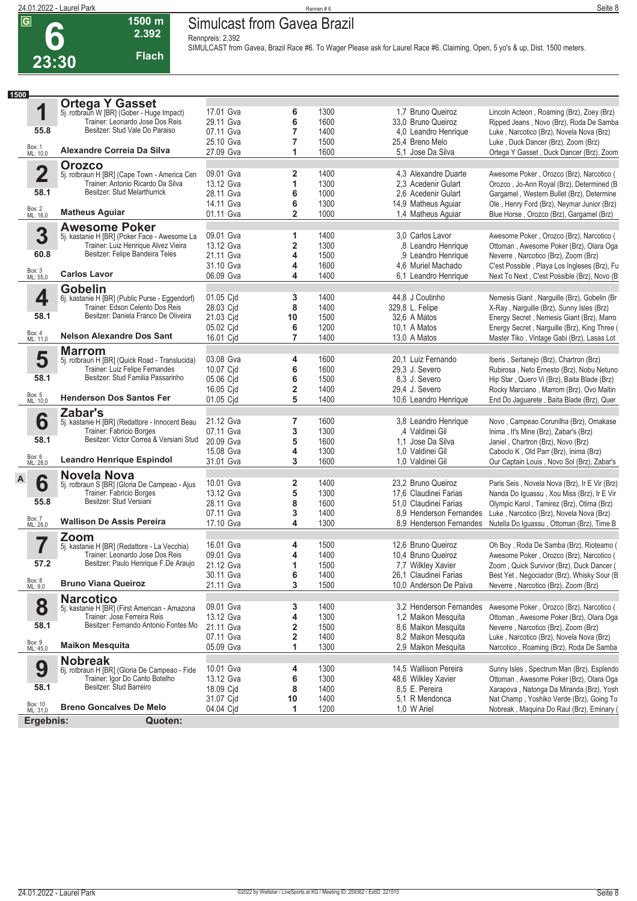**6**

# **24.01.2022 - Laurel Park** Seite 8 **Simulcast from Gavea Brazil**

**Rennpreis: 2.392**

**2.392 Flach**

**1500 m**

**SIMULCAST from Gavea, Brazil Race #6. To Wager Please ask for Laurel Race #6. Claiming, Open, 5 yo's & up, Dist. 1500 meters.** 

| 1500                    |                                                                                     |                        |                              |              |                                                 |                                                                                      |
|-------------------------|-------------------------------------------------------------------------------------|------------------------|------------------------------|--------------|-------------------------------------------------|--------------------------------------------------------------------------------------|
|                         | <b>Ortega Y Gasset</b>                                                              |                        |                              |              |                                                 |                                                                                      |
| 1                       | 5j. rotbraun W [BR] (Gober - Huge Impact)<br>Trainer: Leonardo Jose Dos Reis        | 17.01 Gva<br>29.11 Gva | 6<br>6                       | 1300<br>1600 | 1.7 Bruno Queiroz                               | Lincoln Acteon, Roaming (Brz), Zoey (Brz)                                            |
| 55.8                    | Besitzer: Stud Vale Do Paraiso                                                      | 07.11 Gva              | 7                            | 1400         | 33,0 Bruno Queiroz<br>4,0 Leandro Henrique      | Ripped Jeans, Novo (Brz), Roda De Samba<br>Luke, Narcotico (Brz), Novela Nova (Brz)  |
|                         |                                                                                     | 25.10 Gva              | 7                            | 1500         | 25,4 Breno Melo                                 | Luke, Duck Dancer (Brz), Zoom (Brz)                                                  |
| Box: 1<br>ML: 10,0      | Alexandre Correia Da Silva                                                          | 27.09 Gva              | 1                            | 1600         | 5.1 Jose Da Silva                               | Ortega Y Gasset, Duck Dancer (Brz), Zoom                                             |
|                         | <b>Orozco</b>                                                                       |                        |                              |              |                                                 |                                                                                      |
| $\overline{\mathbf{2}}$ | 5j. rotbraun H [BR] (Cape Town - America Cen                                        | 09.01 Gva              | $\overline{\mathbf{2}}$      | 1400         | 4,3 Alexandre Duarte                            | Awesome Poker, Orozco (Brz), Narcotico (                                             |
|                         | Trainer: Antonio Ricardo Da Silva                                                   | 13.12 Gva              | 1                            | 1300         | 2,3 Acedenir Gulart                             | Orozco, Jo-Ann Royal (Brz), Determined (B                                            |
| 58.1                    | Besitzer: Stud Melarthurrick                                                        | 28.11 Gva              | 6                            | 1000         | 2.6 Acedenir Gulart                             | Gargamel, Western Bullet (Brz), Determine                                            |
|                         |                                                                                     | 14.11 Gva              | 6                            | 1300         | 14,9 Matheus Aguiar                             | Ole, Henry Ford (Brz), Neymar Junior (Brz)                                           |
| Box: 2<br>ML: 16,0      | <b>Matheus Aguiar</b>                                                               | 01.11 Gva              | $\overline{2}$               | 1000         | 1,4 Matheus Aguiar                              | Blue Horse, Orozco (Brz), Gargamel (Brz)                                             |
|                         | <b>Awesome Poker</b>                                                                |                        |                              |              |                                                 |                                                                                      |
| 3                       | 5j. kastanie H [BR] (Poker Face - Awesome La<br>Trainer: Luiz Henrique Alvez Vieira | 09.01 Gva<br>13.12 Gva | 1<br>2                       | 1400<br>1300 | 3.0 Carlos Lavor<br>.8 Leandro Henrique         | Awesome Poker, Orozco (Brz), Narcotico (                                             |
| 60.8                    | Besitzer: Felipe Bandeira Teles                                                     | 21.11 Gva              | 4                            | 1500         | ,9 Leandro Henrique                             | Ottoman, Awesome Poker (Brz), Olara Oga                                              |
|                         |                                                                                     | 31.10 Gva              | 4                            | 1600         | 4,6 Muriel Machado                              | Neverre, Narcotico (Brz), Zoom (Brz)<br>C'est Possible, Playa Los Ingleses (Brz), Fu |
| Box: 3<br>ML: 55,0      | <b>Carlos Lavor</b>                                                                 | 06.09 Gva              | 4                            | 1400         | 6.1 Leandro Henrique                            | Next To Next, C'est Possible (Brz), Novo (B)                                         |
|                         | <b>Gobelin</b>                                                                      |                        |                              |              |                                                 |                                                                                      |
| 4                       | 6j. kastanie H [BR] (Public Purse - Eggendorf)                                      | 01.05 Cjd              | 3                            | 1400         | 44.8 J Coutinho                                 | Nemesis Giant, Narguille (Brz), Gobelin (Br                                          |
|                         | Trainer: Edson Celento Dos Reis                                                     | 28.03 Cjd              | 8                            | 1400         | 329,8 L. Felipe                                 | X-Ray, Narguille (Brz), Sunny Isles (Brz)                                            |
| 58.1                    | Besitzer: Daniela Franco De Oliveira                                                | 21.03 Cid              | 10                           | 1500         | 32,6 A Matos                                    | Energy Secret, Nemesis Giant (Brz), Marro                                            |
|                         |                                                                                     | 05.02 Cjd              | 6                            | 1200         | 10.1 A Matos                                    | Energy Secret, Narguille (Brz), King Three (                                         |
| Box: 4<br>ML: 11,0      | <b>Nelson Alexandre Dos Sant</b>                                                    | 16.01 Cjd              | $\overline{7}$               | 1400         | 13,0 A Matos                                    | Master Tiko, Vintage Gabi (Brz), Lasas Lot                                           |
|                         | <b>Marrom</b>                                                                       |                        |                              |              |                                                 |                                                                                      |
| 5                       | 5j. rotbraun H [BR] (Quick Road - Translucida)                                      | 03.08 Gva              | 4                            | 1600         | 20,1 Luiz Fernando                              | Iberis, Sertanejo (Brz), Chartron (Brz)                                              |
|                         | Trainer: Luiz Felipe Fernandes<br>Besitzer: Stud Familia Passarinho                 | 10.07 Cjd              | 6                            | 1600         | 29,3 J. Severo                                  | Rubirosa, Neto Ernesto (Brz), Nobu Netuno                                            |
| 58.1                    |                                                                                     | 05.06 Cjd              | 6                            | 1500         | 8.3 J. Severo                                   | Hip Star, Quero Vi (Brz), Baita Blade (Brz)                                          |
| Box: 5<br>ML: 10,0      | <b>Henderson Dos Santos Fer</b>                                                     | 16.05 Cjd              | $\overline{\mathbf{2}}$<br>5 | 1400         | 29,4 J. Severo                                  | Rocky Marciano, Marrom (Brz), Ovo Maltin                                             |
|                         |                                                                                     | 01.05 Cjd              |                              | 1400         | 10,6 Leandro Henrique                           | End Do Jaguarete, Baita Blade (Brz), Quer                                            |
| 6                       | Zabar's                                                                             | 21.12 Gva              | $\overline{7}$               | 1600         | 3,8 Leandro Henrique                            | Novo, Campeao Corunilha (Brz), Omakase                                               |
|                         | 5j. kastanie H [BR] (Redattore - Innocent Beau<br>Trainer: Fabricio Borges          | 07.11 Gva              | 3                            | 1300         | ,4 Valdinei Gil                                 | Inima, It's Mine (Brz), Zabar's (Brz)                                                |
| 58.1                    | Besitzer: Victor Correa & Versiani Stud                                             | 20.09 Gva              | 5                            | 1600         | 1.1 Jose Da Silva                               | Janiel, Chartron (Brz), Novo (Brz)                                                   |
|                         |                                                                                     | 15.08 Gva              | 4                            | 1300         | 1,0 Valdinei Gil                                | Caboclo K, Old Parr (Brz), Inima (Brz)                                               |
| Box: 6<br>ML: 28,0      | <b>Leandro Henrique Espindol</b>                                                    | 31.01 Gva              | 3                            | 1600         | 1,0 Valdinei Gil                                | Our Captain Louis, Novo Sol (Brz), Zabar's                                           |
|                         | <b>Novela Nova</b>                                                                  |                        |                              |              |                                                 |                                                                                      |
| A<br>6                  | 5j. rotbraun S [BR] (Gloria De Campeao - Ajus                                       | 10.01 Gva              | $\overline{\mathbf{2}}$      | 1400         | 23,2 Bruno Queiroz                              | Paris Seis, Novela Nova (Brz), Ir E Vir (Brz)                                        |
|                         | Trainer: Fabricio Borges                                                            | 13.12 Gva              | 5                            | 1300         | 17,6 Claudinei Farias                           | Nanda Do Iguassu, Xou Miss (Brz), Ir E Vir                                           |
| 55.8                    | Besitzer: Stud Versiani                                                             | 28.11 Gva              | 8                            | 1600         | 51,0 Claudinei Farias                           | Olympic Karol, Tamirez (Brz), Otima (Brz)                                            |
|                         |                                                                                     | 07.11 Gva              | 3                            | 1400         | 8.9 Henderson Fernandes                         | Luke, Narcotico (Brz), Novela Nova (Brz)                                             |
| Box: 7<br>ML: 28,0      | <b>Wallison De Assis Pereira</b>                                                    | 17.10 Gva              | 4                            | 1300         |                                                 | 8.9 Henderson Fernandes Nutella Do Iquassu, Ottoman (Brz), Time B                    |
|                         | Zoom                                                                                |                        |                              |              |                                                 |                                                                                      |
|                         | 5j. kastanie H [BR] (Redattore - La Vecchia)                                        | 16.01 Gva              | 4                            | 1500         | 12.6 Bruno Queiroz                              | Oh Boy, Roda De Samba (Brz), Rioteamo (                                              |
| 57.2                    | Trainer: Leonardo Jose Dos Reis<br>Besitzer: Paulo Henrique F.De Araujo             | 09.01 Gva              | 4                            | 1400         | 10,4 Bruno Queiroz                              | Awesome Poker, Orozco (Brz), Narcotico (                                             |
|                         |                                                                                     | 21.12 Gva              |                              | 1500         | 7,7 Wilkley Xavier                              | Zoom, Quick Survivor (Brz), Duck Dancer (                                            |
| Box: 8<br>ML: 9,0       | <b>Bruno Viana Queiroz</b>                                                          | 30.11 Gva<br>21.11 Gva | 6<br>3                       | 1400<br>1500 | 26,1 Claudinei Farias<br>10.0 Anderson De Paiva | Best Yet, Negociador (Brz), Whisky Sour (B<br>Neverre, Narcotico (Brz), Zoom (Brz)   |
|                         | <b>Narcotico</b>                                                                    |                        |                              |              |                                                 |                                                                                      |
| 8                       | 5j. kastanie H [BR] (First American - Amazona                                       | 09.01 Gva              | 3                            | 1400         | 3.2 Henderson Fernandes                         | Awesome Poker, Orozco (Brz), Narcotico (                                             |
|                         | Trainer: Jose Ferreira Reis                                                         | 13.12 Gva              | 4                            | 1300         | 1,2 Maikon Mesquita                             | Ottoman, Awesome Poker (Brz), Olara Oga                                              |
| 58.1                    | Besitzer: Fernando Antonio Fontes Mo                                                | 21.11 Gva              | 2                            | 1500         | 8,6 Maikon Mesquita                             | Neverre, Narcotico (Brz), Zoom (Brz)                                                 |
|                         |                                                                                     | 07.11 Gva              | 2                            | 1400         | 8,2 Maikon Mesquita                             | Luke, Narcotico (Brz), Novela Nova (Brz)                                             |
| Box: 9<br>ML: 45,0      | <b>Maikon Mesquita</b>                                                              | 05.09 Gva              | 1                            | 1300         | 2,9 Maikon Mesquita                             | Narcotico, Roaming (Brz), Roda De Samba                                              |
|                         | <b>Nobreak</b>                                                                      |                        |                              |              |                                                 |                                                                                      |
| 9                       | 6j. rotbraun H [BR] (Gloria De Campeao - Fide                                       | 10.01 Gva              | 4                            | 1300         | 14,5 Wallison Pereira                           | Sunny Isles, Spectrum Man (Brz), Esplendo                                            |
|                         | Trainer: Igor Do Canto Botelho                                                      | 13.12 Gva              | 6                            | 1300         | 48,6 Wilkley Xavier                             | Ottoman, Awesome Poker (Brz), Olara Oga                                              |
| 58.1                    | Besitzer: Stud Barreiro                                                             | 18.09 Cid              | 8                            | 1400         | 8,5 E. Pereira                                  | Xarapova, Natonga Da Miranda (Brz), Yosh                                             |
| Box: 10<br>ML: 31,0     | <b>Breno Goncalves De Melo</b>                                                      | 31.07 Cjd              | 10                           | 1400         | 5,1 R Mendonca                                  | Nat Champ, Yoshiko Verde (Brz), Going To                                             |
|                         |                                                                                     | 04.04 Cjd              | 1                            | 1200         | 1,0 W Ariel                                     | Nobreak, Maquina Do Raul (Brz), Eminary (                                            |
| Ergebnis:               | Quoten:                                                                             |                        |                              |              |                                                 |                                                                                      |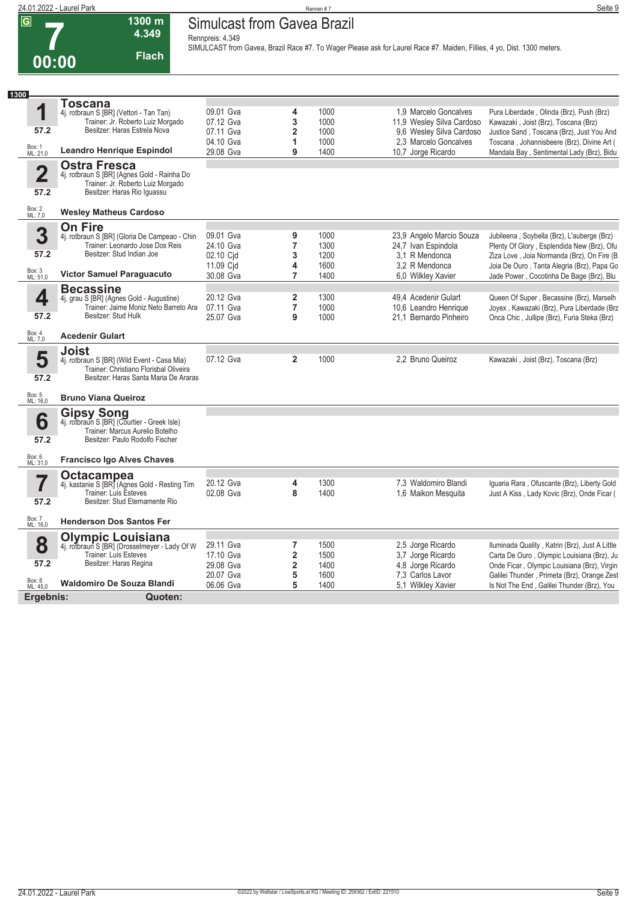|                         | 24.01.2022 - Laurel Park                                                                                                               |                                                 |        | Rennen #7    |                                                                                                                         | Seite 9                                                                                  |
|-------------------------|----------------------------------------------------------------------------------------------------------------------------------------|-------------------------------------------------|--------|--------------|-------------------------------------------------------------------------------------------------------------------------|------------------------------------------------------------------------------------------|
| $\overline{G}$<br>00:00 | 1300 m<br>4.349<br><b>Flach</b>                                                                                                        | Simulcast from Gavea Brazil<br>Rennpreis: 4.349 |        |              | SIMULCAST from Gavea, Brazil Race #7. To Wager Please ask for Laurel Race #7. Maiden, Fillies, 4 yo, Dist. 1300 meters. |                                                                                          |
| 1300                    |                                                                                                                                        |                                                 |        |              |                                                                                                                         |                                                                                          |
| И                       | Toscana<br>4j. rotbraun S [BR] (Vettori - Tan Tan)<br>Trainer: Jr. Roberto Luiz Morgado                                                | 09.01 Gva<br>07.12 Gva                          | 4<br>3 | 1000<br>1000 | 1.9 Marcelo Goncalves<br>11,9 Wesley Silva Cardoso                                                                      | Pura Liberdade, Olinda (Brz), Push (Brz)<br>Kawazaki, Joist (Brz), Toscana (Brz)         |
| 57.2                    | Besitzer: Haras Estrela Nova                                                                                                           | 07.11 Gva<br>04.10 Gva                          |        | 1000<br>1000 | 9,6 Wesley Silva Cardoso<br>2.3 Marcelo Goncalves                                                                       | Justice Sand, Toscana (Brz), Just You And<br>Toscana, Johannisbeere (Brz), Divine Art (  |
| Box: 1<br>ML: 21,0      | <b>Leandro Henrique Espindol</b>                                                                                                       | 29.08 Gva                                       | 9      | 1400         | 10,7 Jorge Ricardo                                                                                                      | Mandala Bay, Sentimental Lady (Brz), Bidu                                                |
| 2<br>57.2               | <b>Ostra Fresca</b><br>4j. rotbraun S [BR] (Agnes Gold - Rainha Do<br>Trainer: Jr. Roberto Luiz Morgado<br>Besitzer: Haras Rio Iguassu |                                                 |        |              |                                                                                                                         |                                                                                          |
| Box: 2<br>ML: 7.0       | <b>Wesley Matheus Cardoso</b>                                                                                                          |                                                 |        |              |                                                                                                                         |                                                                                          |
| 3                       | <b>On Fire</b><br>4j. rotbraun S [BR] (Gloria De Campeao - Chin<br>Trainer: Leonardo Jose Dos Reis                                     | 09.01 Gva<br>24.10 Gva                          |        | 1000<br>1300 | 23,9 Angelo Marcio Souza<br>24,7 Ivan Espindola                                                                         | Jubileena, Soybella (Brz), L'auberge (Brz)<br>Plenty Of Glory, Esplendida New (Brz), Ofu |
| 57.2                    | Besitzer: Stud Indian Joe                                                                                                              | 02.10 Cid                                       |        | 1200         | 3.1 R Mendonca                                                                                                          | Ziza Love Joia Normanda (Brz) On Fire (B                                                 |

| 1<br>57.2                       | <u>i uscalia</u><br>4j. rotbraun S [BR] (Vettori - Tan Tan)<br>Trainer: Jr. Roberto Luiz Morgado<br>Besitzer: Haras Estrela Nova               | 09.01 Gva<br>07.12 Gva<br>07.11 Gva | 4<br>3<br>$\overline{\mathbf{2}}$                       | 1000<br>1000<br>1000 | 1.9 Marcelo Goncalves<br>11,9 Wesley Silva Cardoso<br>9.6 Wesley Silva Cardoso | Pura Liberdade, Olinda (Brz), Push (Brz)<br>Kawazaki, Joist (Brz), Toscana (Brz)<br>Justice Sand, Toscana (Brz), Just You And               |
|---------------------------------|------------------------------------------------------------------------------------------------------------------------------------------------|-------------------------------------|---------------------------------------------------------|----------------------|--------------------------------------------------------------------------------|---------------------------------------------------------------------------------------------------------------------------------------------|
| Box: 1<br>ML: 21,0              | <b>Leandro Henrique Espindol</b>                                                                                                               | 04.10 Gva<br>29.08 Gva              | 1<br>9                                                  | 1000<br>1400         | 2.3 Marcelo Goncalves<br>10,7 Jorge Ricardo                                    | Toscana, Johannisbeere (Brz), Divine Art (<br>Mandala Bay, Sentimental Lady (Brz), Bidu                                                     |
| $\overline{\mathbf{2}}$<br>57.2 | Ostra Fresca<br>4j. rotbraun S [BR] (Agnes Gold - Rainha Do<br>Trainer: Jr. Roberto Luiz Morgado<br>Besitzer: Haras Rio Iguassu                |                                     |                                                         |                      |                                                                                |                                                                                                                                             |
| Box: 2<br>ML: 7,0               | <b>Wesley Matheus Cardoso</b>                                                                                                                  |                                     |                                                         |                      |                                                                                |                                                                                                                                             |
| 3<br>57.2                       | <b>On Fire</b><br>4j. rotbraun S [BR] (Gloria De Campeao - Chin<br>Trainer: Leonardo Jose Dos Reis<br>Besitzer: Stud Indian Joe                | 09.01 Gva<br>24.10 Gva<br>02.10 Cid | 9<br>$\overline{7}$<br>3                                | 1000<br>1300<br>1200 | 23,9 Angelo Marcio Souza<br>24,7 Ivan Espindola<br>3.1 R Mendonca              | Jubileena, Soybella (Brz), L'auberge (Brz)<br>Plenty Of Glory, Esplendida New (Brz), Ofu<br>Ziza Love, Joia Normanda (Brz), On Fire (B      |
| Box: 3<br>ML: 51,0              | Victor Samuel Paraguacuto                                                                                                                      | 11.09 Cjd<br>30.08 Gva              | 4<br>7                                                  | 1600<br>1400         | 3.2 R Mendonca<br>6,0 Wilkley Xavier                                           | Joia De Ouro, Tanta Alegria (Brz), Papa Go<br>Jade Power, Cocotinha De Bage (Brz), Blu                                                      |
| 4<br>57.2                       | <b>Becassine</b><br>4j. grau S [BR] (Agnes Gold - Augustine)<br>Trainer: Jaime Moniz Neto Barreto Ara<br>Besitzer: Stud Hulk                   | 20.12 Gva<br>07.11 Gva<br>25.07 Gva | $\overline{\mathbf{2}}$<br>$\overline{7}$<br>9          | 1300<br>1000<br>1000 | 49.4 Acedenir Gulart<br>10,6 Leandro Henrique<br>21,1 Bernardo Pinheiro        | Queen Of Super, Becassine (Brz), Marselh<br>Joyex, Kawazaki (Brz), Pura Liberdade (Brz<br>Onca Chic, Jullipe (Brz), Furia Steka (Brz)       |
| Box: 4<br>ML: 7,0               | <b>Acedenir Gulart</b>                                                                                                                         |                                     |                                                         |                      |                                                                                |                                                                                                                                             |
| 5<br>57.2                       | <b>Joist</b><br>4j. rotbraun S [BR] (Wild Event - Casa Mia)<br>Trainer: Christiano Florisbal Oliveira<br>Besitzer: Haras Santa Maria De Araras | 07.12 Gva                           | $\overline{2}$                                          | 1000                 | 2.2 Bruno Queiroz                                                              | Kawazaki, Joist (Brz), Toscana (Brz)                                                                                                        |
| Box: 5<br>ML: 16,0              | <b>Bruno Viana Queiroz</b>                                                                                                                     |                                     |                                                         |                      |                                                                                |                                                                                                                                             |
| 6<br>57.2                       | <b>Gipsy Song</b><br>4j. rotbraun S [BR] (Courtier - Greek Isle)<br>Trainer: Marcus Aurelio Botelho<br>Besitzer: Paulo Rodolfo Fischer         |                                     |                                                         |                      |                                                                                |                                                                                                                                             |
| Box: 6<br>ML: 31,0              | <b>Francisco Igo Alves Chaves</b>                                                                                                              |                                     |                                                         |                      |                                                                                |                                                                                                                                             |
| 7<br>57.2                       | <b>Octacampea</b><br>4j. kastanie S [BR] (Agnes Gold - Resting Tim<br>Trainer: Luis Esteves<br>Besitzer: Stud Eternamente Rio                  | 20.12 Gva<br>02.08 Gva              | 4<br>8                                                  | 1300<br>1400         | 7,3 Waldomiro Blandi<br>1,6 Maikon Mesquita                                    | Iguaria Rara, Ofuscante (Brz), Liberty Gold<br>Just A Kiss, Lady Kovic (Brz), Onde Ficar (                                                  |
| Box: 7<br>ML: 16,0              | <b>Henderson Dos Santos Fer</b>                                                                                                                |                                     |                                                         |                      |                                                                                |                                                                                                                                             |
| 8<br>57.2                       | Olympic Louisiana<br>4j. rotbraun S [BR] (Drosselmeyer - Lady Of W<br><b>Trainer: Luis Esteves</b><br>Besitzer: Haras Regina                   | 29.11 Gva<br>17.10 Gva<br>29.08 Gva | 7<br>$\overline{\mathbf{2}}$<br>$\overline{\mathbf{2}}$ | 1500<br>1500<br>1400 | 2,5 Jorge Ricardo<br>3,7 Jorge Ricardo<br>4,8 Jorge Ricardo                    | Iluminada Quality, Katrin (Brz), Just A Little<br>Carta De Ouro, Olympic Louisiana (Brz), Ju<br>Onde Ficar, Olympic Louisiana (Brz), Virgin |
| Box: 8<br>ML: 45,0              | <b>Waldomiro De Souza Blandi</b>                                                                                                               | 20.07 Gva<br>06.06 Gva              | 5<br>5                                                  | 1600<br>1400         | 7.3 Carlos Lavor<br>5.1 Wilkley Xavier                                         | Galilei Thunder, Primeta (Brz), Orange Zest<br>Is Not The End, Galilei Thunder (Brz), You                                                   |
| Ergebnis:                       | Quoten:                                                                                                                                        |                                     |                                                         |                      |                                                                                |                                                                                                                                             |